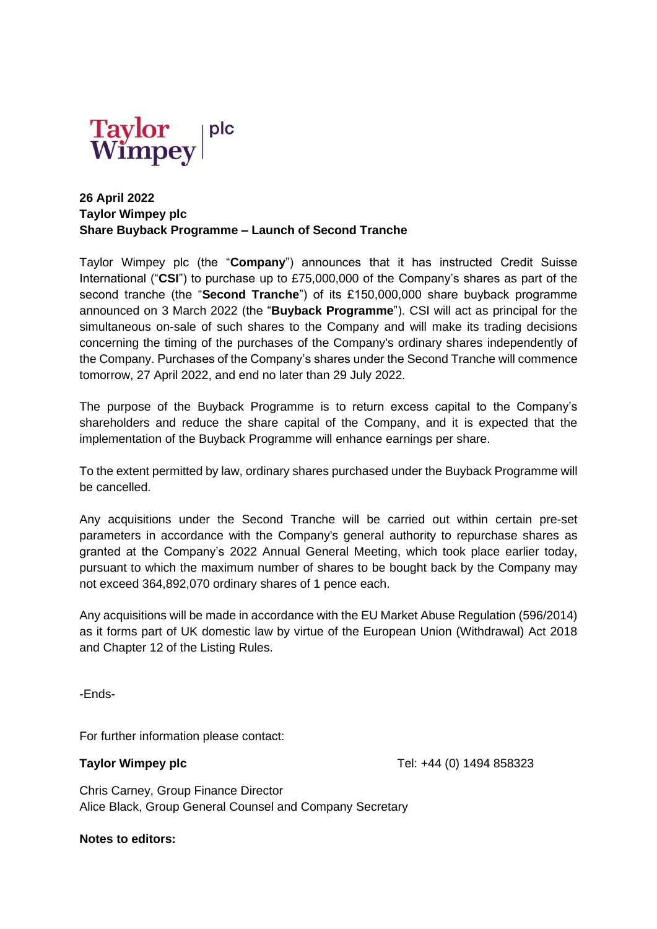

## **26 April 2022 Taylor Wimpey plc Share Buyback Programme – Launch of Second Tranche**

Taylor Wimpey plc (the "**Company**") announces that it has instructed Credit Suisse International ("**CSI**") to purchase up to £75,000,000 of the Company's shares as part of the second tranche (the "**Second Tranche**") of its £150,000,000 share buyback programme announced on 3 March 2022 (the "**Buyback Programme**"). CSI will act as principal for the simultaneous on-sale of such shares to the Company and will make its trading decisions concerning the timing of the purchases of the Company's ordinary shares independently of the Company. Purchases of the Company's shares under the Second Tranche will commence tomorrow, 27 April 2022, and end no later than 29 July 2022.

The purpose of the Buyback Programme is to return excess capital to the Company's shareholders and reduce the share capital of the Company, and it is expected that the implementation of the Buyback Programme will enhance earnings per share.

To the extent permitted by law, ordinary shares purchased under the Buyback Programme will be cancelled.

Any acquisitions under the Second Tranche will be carried out within certain pre-set parameters in accordance with the Company's general authority to repurchase shares as granted at the Company's 2022 Annual General Meeting, which took place earlier today, pursuant to which the maximum number of shares to be bought back by the Company may not exceed 364,892,070 ordinary shares of 1 pence each.

Any acquisitions will be made in accordance with the EU Market Abuse Regulation (596/2014) as it forms part of UK domestic law by virtue of the European Union (Withdrawal) Act 2018 and Chapter 12 of the Listing Rules.

-Ends-

For further information please contact:

**Taylor Wimpey plc Taylor Wimpey plc Tel: +44 (0) 1494 858323** 

Chris Carney, Group Finance Director Alice Black, Group General Counsel and Company Secretary

**Notes to editors:**